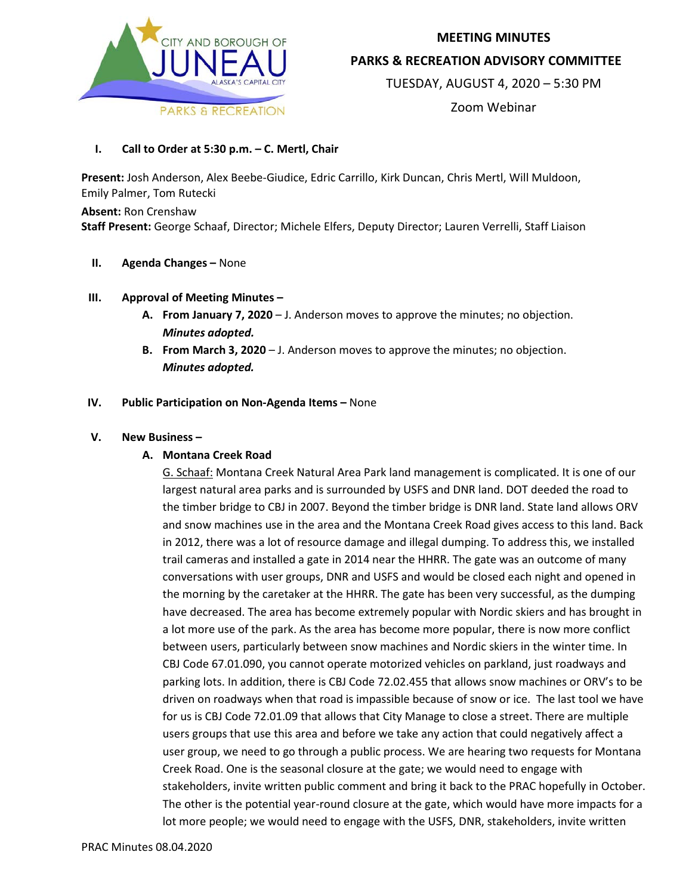

## **MEETING MINUTES**

**PARKS & RECREATION ADVISORY COMMITTEE**

TUESDAY, AUGUST 4, 2020 – 5:30 PM

Zoom Webinar

**I. Call to Order at 5:30 p.m. – C. Mertl, Chair**

**Present:** Josh Anderson, Alex Beebe-Giudice, Edric Carrillo, Kirk Duncan, Chris Mertl, Will Muldoon, Emily Palmer, Tom Rutecki

**Absent:** Ron Crenshaw **Staff Present:** George Schaaf, Director; Michele Elfers, Deputy Director; Lauren Verrelli, Staff Liaison

- **II. Agenda Changes –** None
- **III. Approval of Meeting Minutes –**
	- **A. From January 7, 2020** J. Anderson moves to approve the minutes; no objection. *Minutes adopted.*
	- **B. From March 3, 2020** J. Anderson moves to approve the minutes; no objection. *Minutes adopted.*
- **IV. Public Participation on Non-Agenda Items –** None

# **V. New Business –**

# **A. Montana Creek Road**

G. Schaaf: Montana Creek Natural Area Park land management is complicated. It is one of our largest natural area parks and is surrounded by USFS and DNR land. DOT deeded the road to the timber bridge to CBJ in 2007. Beyond the timber bridge is DNR land. State land allows ORV and snow machines use in the area and the Montana Creek Road gives access to this land. Back in 2012, there was a lot of resource damage and illegal dumping. To address this, we installed trail cameras and installed a gate in 2014 near the HHRR. The gate was an outcome of many conversations with user groups, DNR and USFS and would be closed each night and opened in the morning by the caretaker at the HHRR. The gate has been very successful, as the dumping have decreased. The area has become extremely popular with Nordic skiers and has brought in a lot more use of the park. As the area has become more popular, there is now more conflict between users, particularly between snow machines and Nordic skiers in the winter time. In CBJ Code 67.01.090, you cannot operate motorized vehicles on parkland, just roadways and parking lots. In addition, there is CBJ Code 72.02.455 that allows snow machines or ORV's to be driven on roadways when that road is impassible because of snow or ice. The last tool we have for us is CBJ Code 72.01.09 that allows that City Manage to close a street. There are multiple users groups that use this area and before we take any action that could negatively affect a user group, we need to go through a public process. We are hearing two requests for Montana Creek Road. One is the seasonal closure at the gate; we would need to engage with stakeholders, invite written public comment and bring it back to the PRAC hopefully in October. The other is the potential year-round closure at the gate, which would have more impacts for a lot more people; we would need to engage with the USFS, DNR, stakeholders, invite written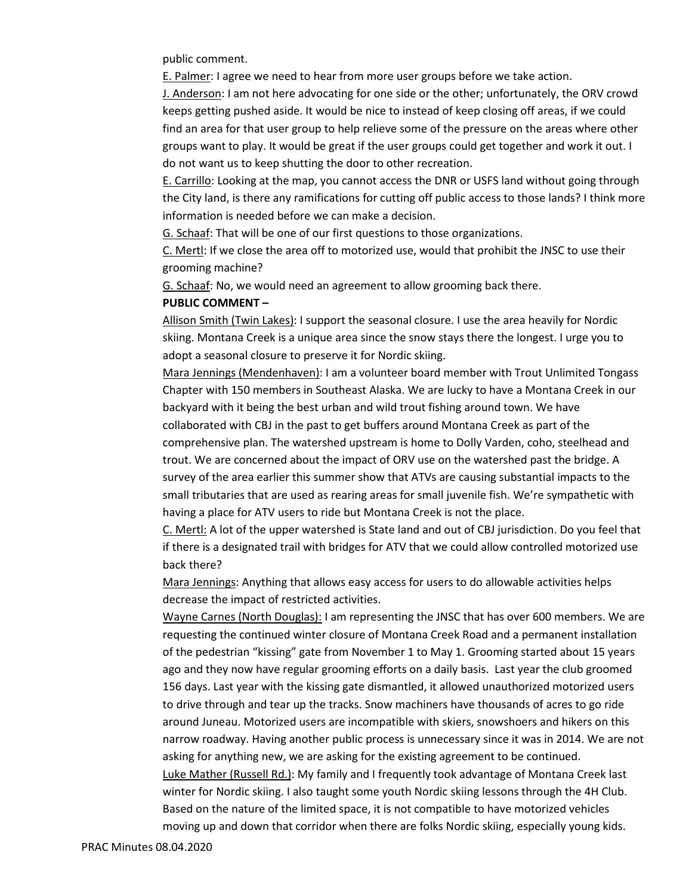public comment.

E. Palmer: I agree we need to hear from more user groups before we take action.

J. Anderson: I am not here advocating for one side or the other; unfortunately, the ORV crowd keeps getting pushed aside. It would be nice to instead of keep closing off areas, if we could find an area for that user group to help relieve some of the pressure on the areas where other groups want to play. It would be great if the user groups could get together and work it out. I do not want us to keep shutting the door to other recreation.

E. Carrillo: Looking at the map, you cannot access the DNR or USFS land without going through the City land, is there any ramifications for cutting off public access to those lands? I think more information is needed before we can make a decision.

G. Schaaf: That will be one of our first questions to those organizations.

C. Mertl: If we close the area off to motorized use, would that prohibit the JNSC to use their grooming machine?

G. Schaaf: No, we would need an agreement to allow grooming back there.

#### **PUBLIC COMMENT –**

Allison Smith (Twin Lakes): I support the seasonal closure. I use the area heavily for Nordic skiing. Montana Creek is a unique area since the snow stays there the longest. I urge you to adopt a seasonal closure to preserve it for Nordic skiing.

Mara Jennings (Mendenhaven): I am a volunteer board member with Trout Unlimited Tongass Chapter with 150 members in Southeast Alaska. We are lucky to have a Montana Creek in our backyard with it being the best urban and wild trout fishing around town. We have collaborated with CBJ in the past to get buffers around Montana Creek as part of the comprehensive plan. The watershed upstream is home to Dolly Varden, coho, steelhead and trout. We are concerned about the impact of ORV use on the watershed past the bridge. A survey of the area earlier this summer show that ATVs are causing substantial impacts to the small tributaries that are used as rearing areas for small juvenile fish. We're sympathetic with having a place for ATV users to ride but Montana Creek is not the place.

C. Mertl: A lot of the upper watershed is State land and out of CBJ jurisdiction. Do you feel that if there is a designated trail with bridges for ATV that we could allow controlled motorized use back there?

Mara Jennings: Anything that allows easy access for users to do allowable activities helps decrease the impact of restricted activities.

Wayne Carnes (North Douglas): I am representing the JNSC that has over 600 members. We are requesting the continued winter closure of Montana Creek Road and a permanent installation of the pedestrian "kissing" gate from November 1 to May 1. Grooming started about 15 years ago and they now have regular grooming efforts on a daily basis. Last year the club groomed 156 days. Last year with the kissing gate dismantled, it allowed unauthorized motorized users to drive through and tear up the tracks. Snow machiners have thousands of acres to go ride around Juneau. Motorized users are incompatible with skiers, snowshoers and hikers on this narrow roadway. Having another public process is unnecessary since it was in 2014. We are not asking for anything new, we are asking for the existing agreement to be continued. Luke Mather (Russell Rd.): My family and I frequently took advantage of Montana Creek last winter for Nordic skiing. I also taught some youth Nordic skiing lessons through the 4H Club. Based on the nature of the limited space, it is not compatible to have motorized vehicles

moving up and down that corridor when there are folks Nordic skiing, especially young kids.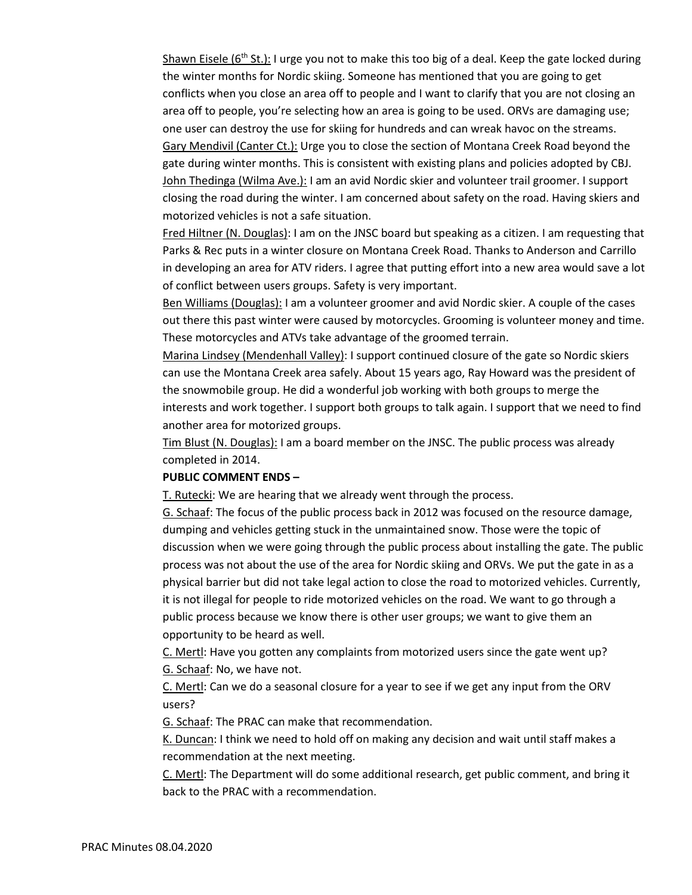Shawn Eisele ( $6<sup>th</sup>$  St.): I urge you not to make this too big of a deal. Keep the gate locked during the winter months for Nordic skiing. Someone has mentioned that you are going to get conflicts when you close an area off to people and I want to clarify that you are not closing an area off to people, you're selecting how an area is going to be used. ORVs are damaging use; one user can destroy the use for skiing for hundreds and can wreak havoc on the streams. Gary Mendivil (Canter Ct.): Urge you to close the section of Montana Creek Road beyond the gate during winter months. This is consistent with existing plans and policies adopted by CBJ. John Thedinga (Wilma Ave.): I am an avid Nordic skier and volunteer trail groomer. I support closing the road during the winter. I am concerned about safety on the road. Having skiers and motorized vehicles is not a safe situation.

Fred Hiltner (N. Douglas): I am on the JNSC board but speaking as a citizen. I am requesting that Parks & Rec puts in a winter closure on Montana Creek Road. Thanks to Anderson and Carrillo in developing an area for ATV riders. I agree that putting effort into a new area would save a lot of conflict between users groups. Safety is very important.

Ben Williams (Douglas): I am a volunteer groomer and avid Nordic skier. A couple of the cases out there this past winter were caused by motorcycles. Grooming is volunteer money and time. These motorcycles and ATVs take advantage of the groomed terrain.

Marina Lindsey (Mendenhall Valley): I support continued closure of the gate so Nordic skiers can use the Montana Creek area safely. About 15 years ago, Ray Howard was the president of the snowmobile group. He did a wonderful job working with both groups to merge the interests and work together. I support both groups to talk again. I support that we need to find another area for motorized groups.

Tim Blust (N. Douglas): I am a board member on the JNSC. The public process was already completed in 2014.

#### **PUBLIC COMMENT ENDS –**

T. Rutecki: We are hearing that we already went through the process.

G. Schaaf: The focus of the public process back in 2012 was focused on the resource damage, dumping and vehicles getting stuck in the unmaintained snow. Those were the topic of discussion when we were going through the public process about installing the gate. The public process was not about the use of the area for Nordic skiing and ORVs. We put the gate in as a physical barrier but did not take legal action to close the road to motorized vehicles. Currently, it is not illegal for people to ride motorized vehicles on the road. We want to go through a public process because we know there is other user groups; we want to give them an opportunity to be heard as well.

C. Mertl: Have you gotten any complaints from motorized users since the gate went up? G. Schaaf: No, we have not.

C. Mertl: Can we do a seasonal closure for a year to see if we get any input from the ORV users?

G. Schaaf: The PRAC can make that recommendation.

K. Duncan: I think we need to hold off on making any decision and wait until staff makes a recommendation at the next meeting.

C. Mertl: The Department will do some additional research, get public comment, and bring it back to the PRAC with a recommendation.